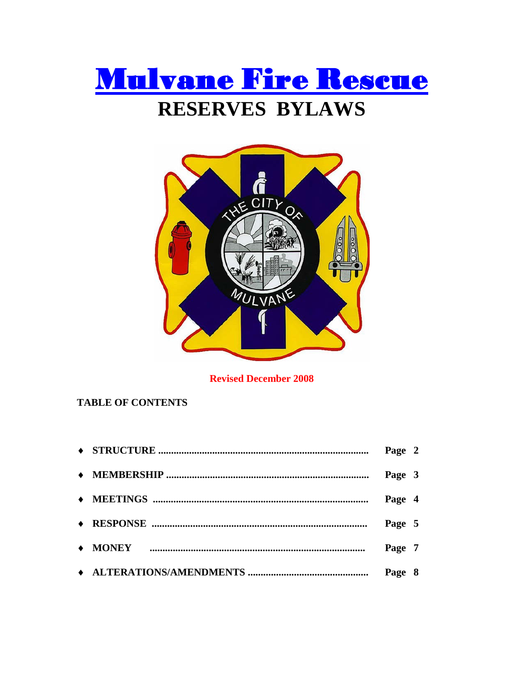



**Revised December 2008** 

# **TABLE OF CONTENTS**

|  | Page 2 |  |
|--|--------|--|
|  | Page 3 |  |
|  | Page 4 |  |
|  | Page 5 |  |
|  | Page 7 |  |
|  | Page 8 |  |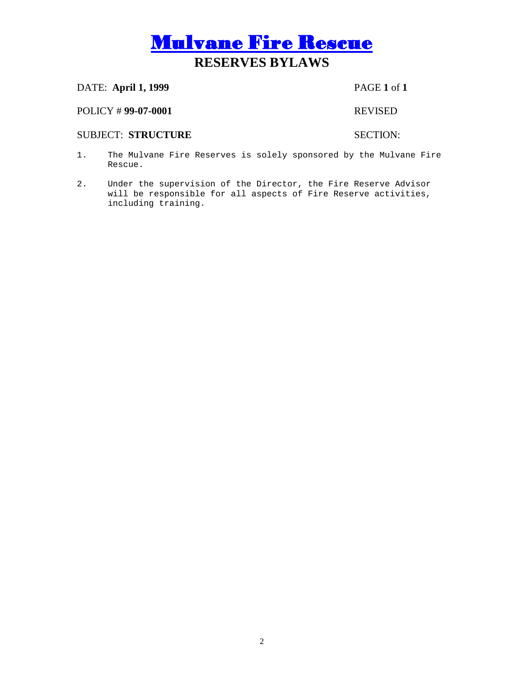# DATE: **April 1, 1999** PAGE **1** of **1**

## POLICY # **99-07-0001** REVISED

# SUBJECT: STRUCTURE SECTION:

- 1. The Mulvane Fire Reserves is solely sponsored by the Mulvane Fire Rescue.
- 2. Under the supervision of the Director, the Fire Reserve Advisor will be responsible for all aspects of Fire Reserve activities, including training.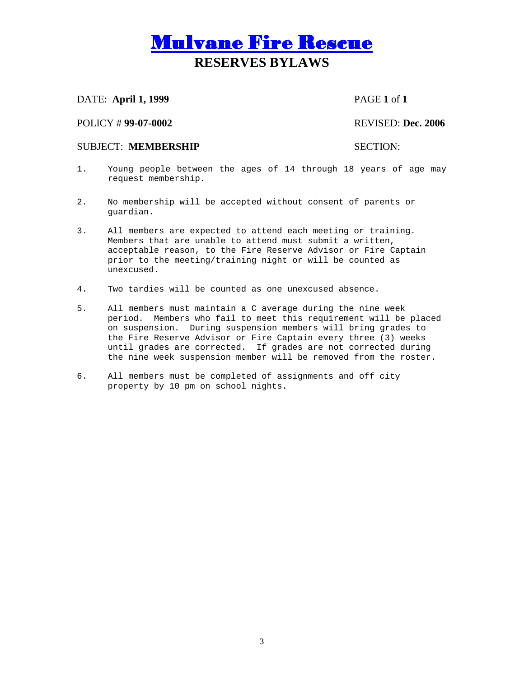# DATE: **April 1, 1999** PAGE **1** of **1**

## POLICY # **99-07-0002** REVISED: **Dec. 2006**

## SUBJECT: **MEMBERSHIP** SECTION:

- 1. Young people between the ages of 14 through 18 years of age may request membership.
- 2. No membership will be accepted without consent of parents or guardian.
- 3. All members are expected to attend each meeting or training. Members that are unable to attend must submit a written, acceptable reason, to the Fire Reserve Advisor or Fire Captain prior to the meeting/training night or will be counted as unexcused.
- 4. Two tardies will be counted as one unexcused absence.
- 5. All members must maintain a C average during the nine week period. Members who fail to meet this requirement will be placed on suspension. During suspension members will bring grades to the Fire Reserve Advisor or Fire Captain every three (3) weeks until grades are corrected. If grades are not corrected during the nine week suspension member will be removed from the roster.
- 6. All members must be completed of assignments and off city property by 10 pm on school nights.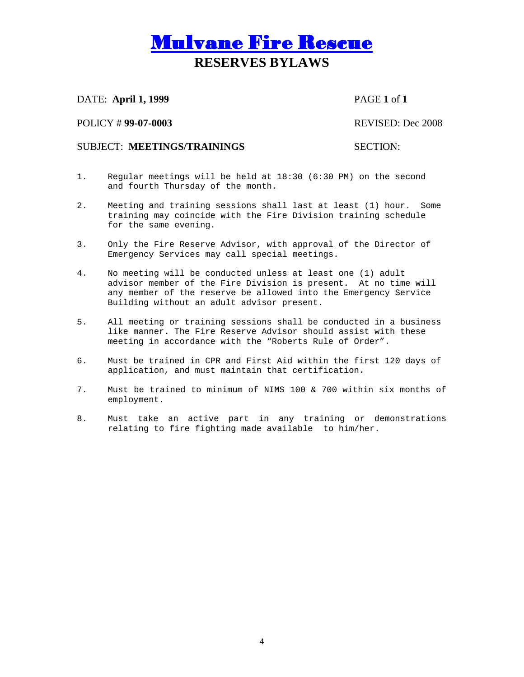DATE: **April 1, 1999** PAGE **1** of **1**

POLICY # **99-07-0003** REVISED: Dec 2008

# SUBJECT: **MEETINGS/TRAININGS** SECTION:

- 1. Regular meetings will be held at 18:30 (6:30 PM) on the second and fourth Thursday of the month.
- 2. Meeting and training sessions shall last at least (1) hour. Some training may coincide with the Fire Division training schedule for the same evening.
- 3. Only the Fire Reserve Advisor, with approval of the Director of Emergency Services may call special meetings.
- 4. No meeting will be conducted unless at least one (1) adult advisor member of the Fire Division is present. At no time will any member of the reserve be allowed into the Emergency Service Building without an adult advisor present.
- 5. All meeting or training sessions shall be conducted in a business like manner. The Fire Reserve Advisor should assist with these meeting in accordance with the "Roberts Rule of Order".
- 6. Must be trained in CPR and First Aid within the first 120 days of application, and must maintain that certification**.**
- 7. Must be trained to minimum of NIMS 100 & 700 within six months of employment.
- 8. Must take an active part in any training or demonstrations relating to fire fighting made available to him/her.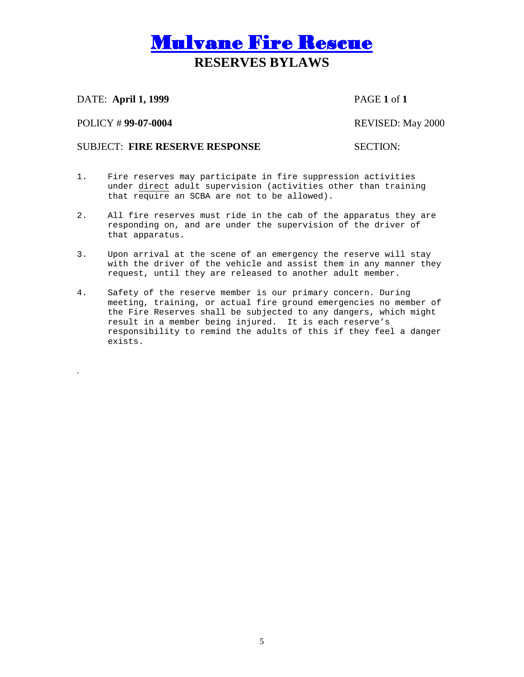DATE: **April 1, 1999** PAGE **1** of **1**

POLICY # **99-07-0004** REVISED: May 2000

.

# SUBJECT: **FIRE RESERVE RESPONSE** SECTION:

- 1. Fire reserves may participate in fire suppression activities under direct adult supervision (activities other than training that require an SCBA are not to be allowed).
- 2. All fire reserves must ride in the cab of the apparatus they are responding on, and are under the supervision of the driver of that apparatus.
- 3. Upon arrival at the scene of an emergency the reserve will stay with the driver of the vehicle and assist them in any manner they request, until they are released to another adult member.
- 4. Safety of the reserve member is our primary concern. During meeting, training, or actual fire ground emergencies no member of the Fire Reserves shall be subjected to any dangers, which might result in a member being injured. It is each reserve's responsibility to remind the adults of this if they feel a danger exists.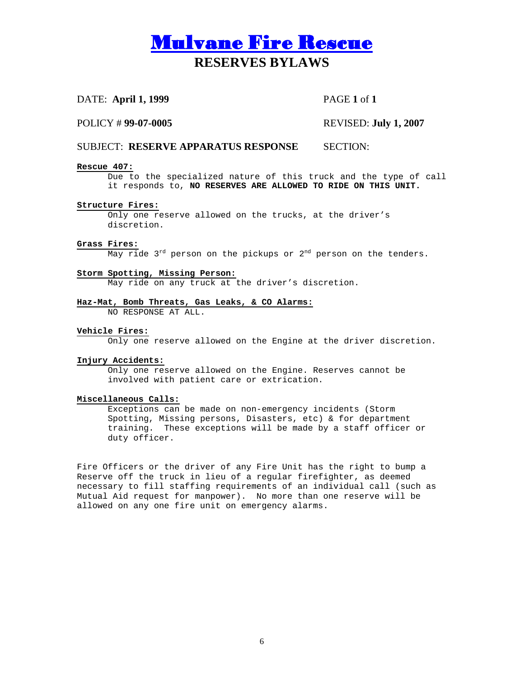# DATE: **April 1, 1999** PAGE **1** of **1**

## POLICY # **99-07-0005** REVISED: **July 1, 2007**

## SUBJECT: **RESERVE APPARATUS RESPONSE** SECTION:

### **Rescue 407:**

Due to the specialized nature of this truck and the type of call it responds to, **NO RESERVES ARE ALLOWED TO RIDE ON THIS UNIT.**

### **Structure Fires:**

Only one reserve allowed on the trucks, at the driver's discretion.

### **Grass Fires:**

May ride  $3^{rd}$  person on the pickups or  $2^{nd}$  person on the tenders.

### **Storm Spotting, Missing Person:**

May ride on any truck at the driver's discretion.

### **Haz-Mat, Bomb Threats, Gas Leaks, & CO Alarms:**

NO RESPONSE AT ALL.

### **Vehicle Fires:**

Only one reserve allowed on the Engine at the driver discretion.

### **Injury Accidents:**

Only one reserve allowed on the Engine. Reserves cannot be involved with patient care or extrication.

### **Miscellaneous Calls:**

Exceptions can be made on non-emergency incidents (Storm Spotting, Missing persons, Disasters, etc) & for department training. These exceptions will be made by a staff officer or duty officer.

Fire Officers or the driver of any Fire Unit has the right to bump a Reserve off the truck in lieu of a regular firefighter, as deemed necessary to fill staffing requirements of an individual call (such as Mutual Aid request for manpower). No more than one reserve will be allowed on any one fire unit on emergency alarms.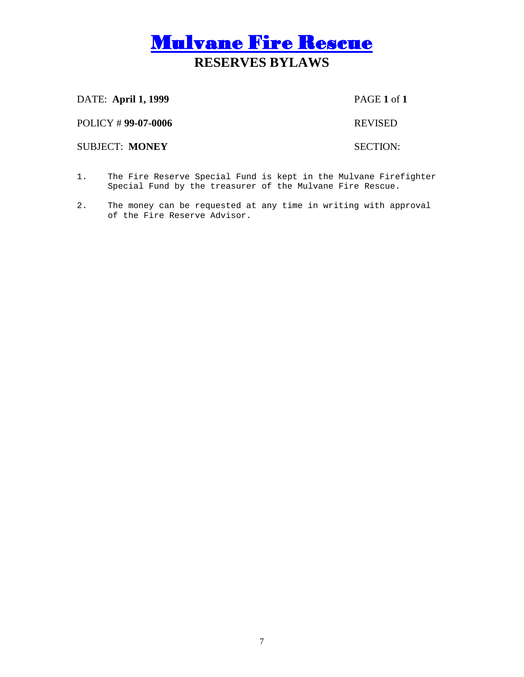DATE: **April 1, 1999** PAGE **1** of **1**

POLICY # **99-07-0006** REVISED

**SUBJECT: MONEY SECTION:** 

- 1. The Fire Reserve Special Fund is kept in the Mulvane Firefighter Special Fund by the treasurer of the Mulvane Fire Rescue.
- 2. The money can be requested at any time in writing with approval of the Fire Reserve Advisor.